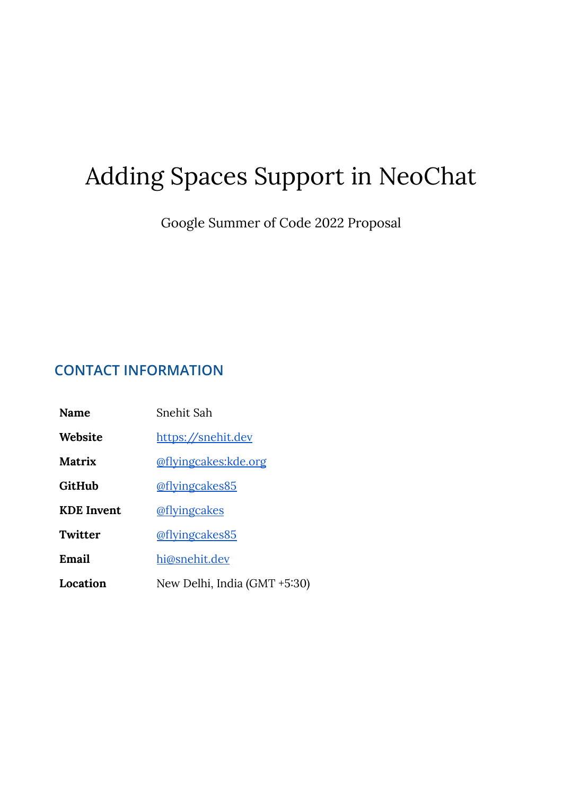# Adding Spaces Support in NeoChat

Google Summer of Code 2022 Proposal

# **CONTACT INFORMATION**

| Name              | Snehit Sah                   |
|-------------------|------------------------------|
| Website           | https://snehit.dev           |
| <b>Matrix</b>     | @flyingcakes:kde.org         |
| GitHub            | @flyingcakes85               |
| <b>KDE</b> Invent | @flyingcakes                 |
| Twitter           | @flyingcakes85               |
| Email             | hi@snehit.dev                |
| Location          | New Delhi, India (GMT +5:30) |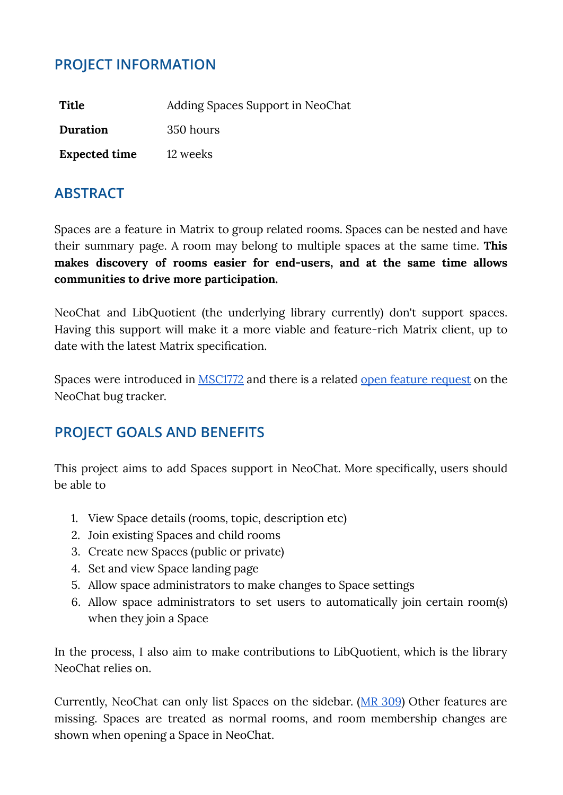# **PROJECT INFORMATION**

| Title                | Adding Spaces Support in NeoChat |
|----------------------|----------------------------------|
| Duration             | 350 hours                        |
| <b>Expected time</b> | 12 weeks                         |

## **ABSTRACT**

Spaces are a feature in Matrix to group related rooms. Spaces can be nested and have their summary page. A room may belong to multiple spaces at the same time. **This makes discovery of rooms easier for end-users, and at the same time allows communities to drive more participation.**

NeoChat and LibQuotient (the underlying library currently) don't support spaces. Having this support will make it a more viable and feature-rich Matrix client, up to date with the latest Matrix specification.

Spaces were introduced in [MSC1772](https://github.com/matrix-org/matrix-spec-proposals/pull/1772) and there is a related open feature [request](https://invent.kde.org/network/neochat/-/issues/361) on the NeoChat bug tracker.

## **PROJECT GOALS AND BENEFITS**

This project aims to add Spaces support in NeoChat. More specifically, users should be able to

- 1. View Space details (rooms, topic, description etc)
- 2. Join existing Spaces and child rooms
- 3. Create new Spaces (public or private)
- 4. Set and view Space landing page
- 5. Allow space administrators to make changes to Space settings
- 6. Allow space administrators to set users to automatically join certain room(s) when they join a Space

In the process, I also aim to make contributions to LibQuotient, which is the library NeoChat relies on.

Currently, NeoChat can only list Spaces on the sidebar. (MR [309](https://invent.kde.org/network/neochat/-/merge_requests/309)) Other features are missing. Spaces are treated as normal rooms, and room membership changes are shown when opening a Space in NeoChat.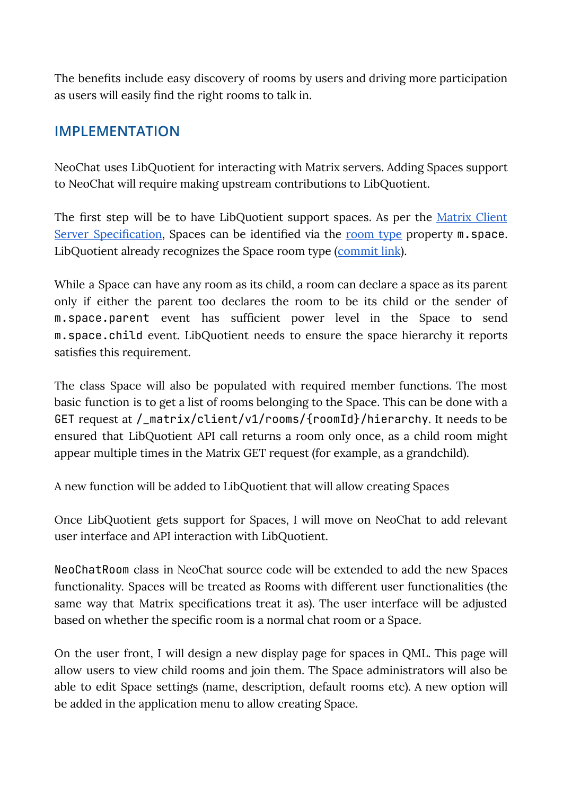The benefits include easy discovery of rooms by users and driving more participation as users will easily find the right rooms to talk in.

# **IMPLEMENTATION**

NeoChat uses LibQuotient for interacting with Matrix servers. Adding Spaces support to NeoChat will require making upstream contributions to LibQuotient.

The first step will be to have LibQuotient support spaces. As per the *[Matrix](https://spec.matrix.org/v1.2/client-server-api/#spaces) Client* Server [Specification,](https://spec.matrix.org/v1.2/client-server-api/#spaces) Spaces can be identified via the [room](https://spec.matrix.org/v1.2/client-server-api/#types) type property m. space. LibQuotient already recognizes the Space room type ([commit](https://github.com/quotient-im/libQuotient/commit/59c9ca720093f2931c2eee1c0d5806d7e2e0c85f) link).

While a Space can have any room as its child, a room can declare a space as its parent only if either the parent too declares the room to be its child or the sender of m.space.parent event has sufficient power level in the Space to send m.space.child event. LibQuotient needs to ensure the space hierarchy it reports satisfies this requirement.

The class Space will also be populated with required member functions. The most basic function is to get a list of rooms belonging to the Space. This can be done with a GET request at /\_matrix/client/v1/rooms/{roomId}/hierarchy. It needs to be ensured that LibQuotient API call returns a room only once, as a child room might appear multiple times in the Matrix GET request (for example, as a grandchild).

A new function will be added to LibQuotient that will allow creating Spaces

Once LibQuotient gets support for Spaces, I will move on NeoChat to add relevant user interface and API interaction with LibQuotient.

NeoChatRoom class in NeoChat source code will be extended to add the new Spaces functionality. Spaces will be treated as Rooms with different user functionalities (the same way that Matrix specifications treat it as). The user interface will be adjusted based on whether the specific room is a normal chat room or a Space.

On the user front, I will design a new display page for spaces in QML. This page will allow users to view child rooms and join them. The Space administrators will also be able to edit Space settings (name, description, default rooms etc). A new option will be added in the application menu to allow creating Space.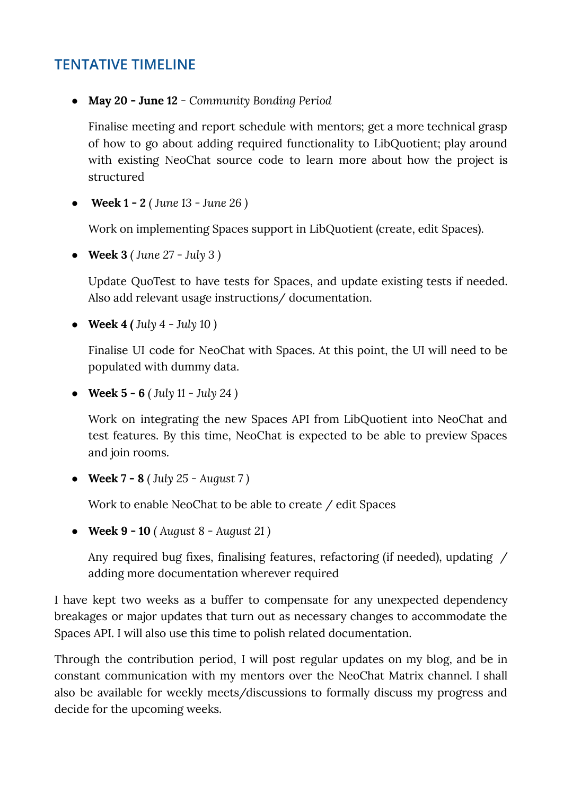## **TENTATIVE TIMELINE**

**● May 20 - June 12** - *Community Bonding Period*

Finalise meeting and report schedule with mentors; get a more technical grasp of how to go about adding required functionality to LibQuotient; play around with existing NeoChat source code to learn more about how the project is structured

● **Week 1 - 2** *( June 13 - June 26 )*

Work on implementing Spaces support in LibQuotient (create, edit Spaces).

**● Week 3** *( June 27 - July 3 )*

Update QuoTest to have tests for Spaces, and update existing tests if needed. Also add relevant usage instructions/ documentation.

**● Week 4** *( July 4 - July 10 )*

Finalise UI code for NeoChat with Spaces. At this point, the UI will need to be populated with dummy data.

**● Week 5 - 6** *( July 11 - July 24 )*

Work on integrating the new Spaces API from LibQuotient into NeoChat and test features. By this time, NeoChat is expected to be able to preview Spaces and join rooms.

**● Week 7 - 8** *( July 25 - August 7 )*

Work to enable NeoChat to be able to create / edit Spaces

**● Week 9 - 10** *( August 8 - August 21 )*

Any required bug fixes, finalising features, refactoring (if needed), updating / adding more documentation wherever required

I have kept two weeks as a buffer to compensate for any unexpected dependency breakages or major updates that turn out as necessary changes to accommodate the Spaces API. I will also use this time to polish related documentation.

Through the contribution period, I will post regular updates on my blog, and be in constant communication with my mentors over the NeoChat Matrix channel. I shall also be available for weekly meets/discussions to formally discuss my progress and decide for the upcoming weeks.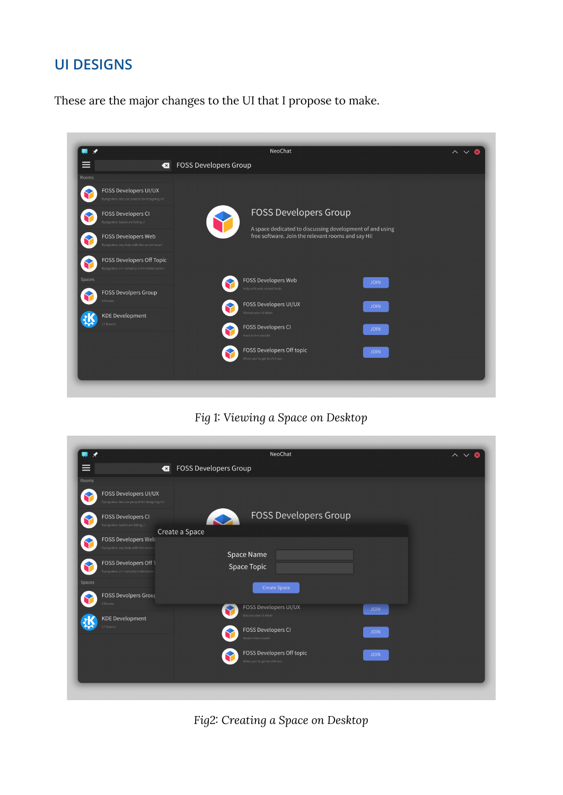## **UI DESIGNS**

These are the major changes to the UI that I propose to make.



### *Fig 1: Viewing a Space on Desktop*

| $\star$                                                                 | NeoChat                                                                  | $\overline{\phantom{a}}$ $\overline{\phantom{a}}$ |
|-------------------------------------------------------------------------|--------------------------------------------------------------------------|---------------------------------------------------|
| ≡<br>$\left  \cdot \right $                                             | FOSS Developers Group                                                    |                                                   |
| <b>Rooms</b>                                                            |                                                                          |                                                   |
| FOSS Developers UI/UX<br>flyingcakes: lets use penpot for designing UI! |                                                                          |                                                   |
| FOSS Developers CI<br>flyingcakes: builds are failing :/                | <b>FOSS Developers Group</b><br>S                                        |                                                   |
| FOSS Developers Web                                                     | Create a Space                                                           |                                                   |
| flyingcakes: any help with this server                                  |                                                                          |                                                   |
| FOSS Developers Off 1<br>flyingcakes: c++ certainly is the better       | Space Name<br>Space Topic                                                |                                                   |
| Spaces                                                                  | <b>Create Space</b>                                                      |                                                   |
| <b>FOSS Devolpers Group</b><br>8 Rooms                                  |                                                                          |                                                   |
| <b>KDE Development</b>                                                  | FOSS Developers UI/UX<br><b>JOIN</b><br>Discuss your UI ideas            |                                                   |
| 17 Rooms                                                                | <b>FOSS Developers CI</b><br><b>JOIN</b><br>Head in the clouds!          |                                                   |
|                                                                         | FOSS Developers Off topic<br><b>JOIN</b><br>When you've got to chill out |                                                   |
|                                                                         |                                                                          |                                                   |
|                                                                         |                                                                          |                                                   |

*Fig2: Creating a Space on Desktop*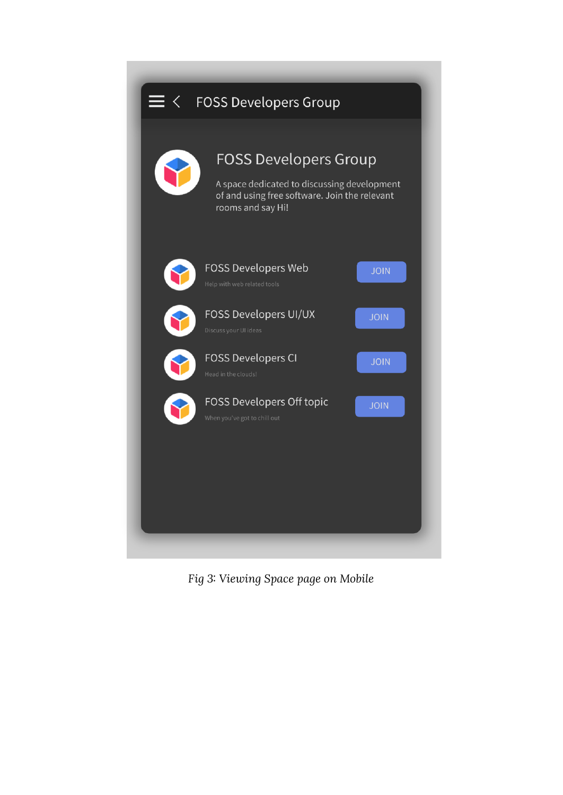

*Fig 3: Viewing Space page on Mobile*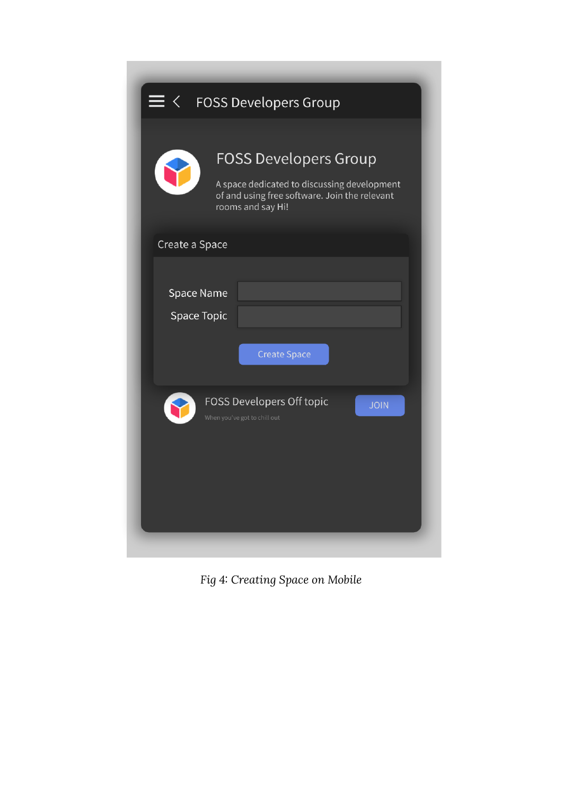| $\prec$                   | <b>FOSS Developers Group</b>                                                                                                                      |  |
|---------------------------|---------------------------------------------------------------------------------------------------------------------------------------------------|--|
|                           | <b>FOSS Developers Group</b><br>A space dedicated to discussing development<br>of and using free software. Join the relevant<br>rooms and say Hi! |  |
| Create a Space            |                                                                                                                                                   |  |
| Space Name<br>Space Topic | <b>Create Space</b>                                                                                                                               |  |
|                           | FOSS Developers Off topic<br><b>JOIN</b><br>When you've got to chill out                                                                          |  |

*Fig 4: Creating Space on Mobile*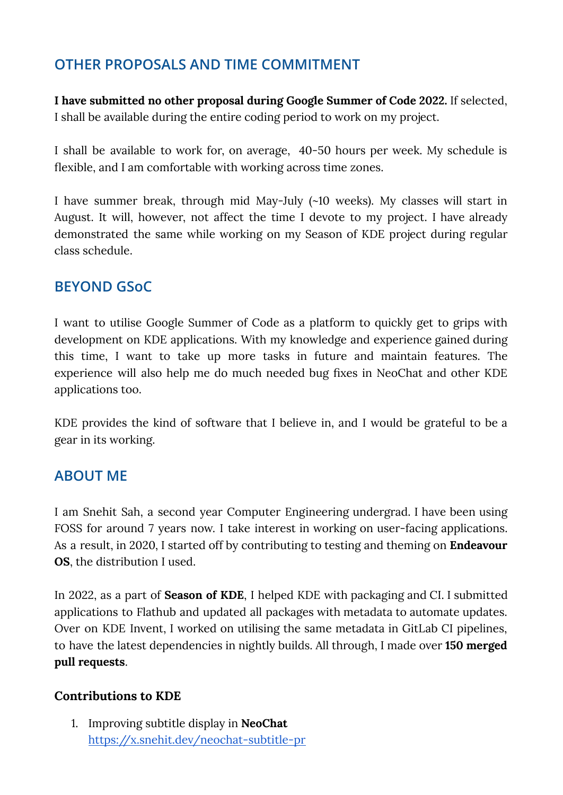# **OTHER PROPOSALS AND TIME COMMITMENT**

**I have submitted no other proposal during Google Summer of Code 2022.** If selected, I shall be available during the entire coding period to work on my project.

I shall be available to work for, on average, 40-50 hours per week. My schedule is flexible, and I am comfortable with working across time zones.

I have summer break, through mid May-July (~10 weeks). My classes will start in August. It will, however, not affect the time I devote to my project. I have already demonstrated the same while working on my Season of KDE project during regular class schedule.

# **BEYOND GSoC**

I want to utilise Google Summer of Code as a platform to quickly get to grips with development on KDE applications. With my knowledge and experience gained during this time, I want to take up more tasks in future and maintain features. The experience will also help me do much needed bug fixes in NeoChat and other KDE applications too.

KDE provides the kind of software that I believe in, and I would be grateful to be a gear in its working.

# **ABOUT ME**

I am Snehit Sah, a second year Computer Engineering undergrad. I have been using FOSS for around 7 years now. I take interest in working on user-facing applications. As a result, in 2020, I started off by contributing to testing and theming on **Endeavour OS**, the distribution I used.

In 2022, as a part of **Season of KDE**, I helped KDE with packaging and CI. I submitted applications to Flathub and updated all packages with metadata to automate updates. Over on KDE Invent, I worked on utilising the same metadata in GitLab CI pipelines, to have the latest dependencies in nightly builds. All through, I made over **150 merged pull requests**.

#### **Contributions to KDE**

1. Improving subtitle display in **NeoChat** <https://x.snehit.dev/neochat-subtitle-pr>